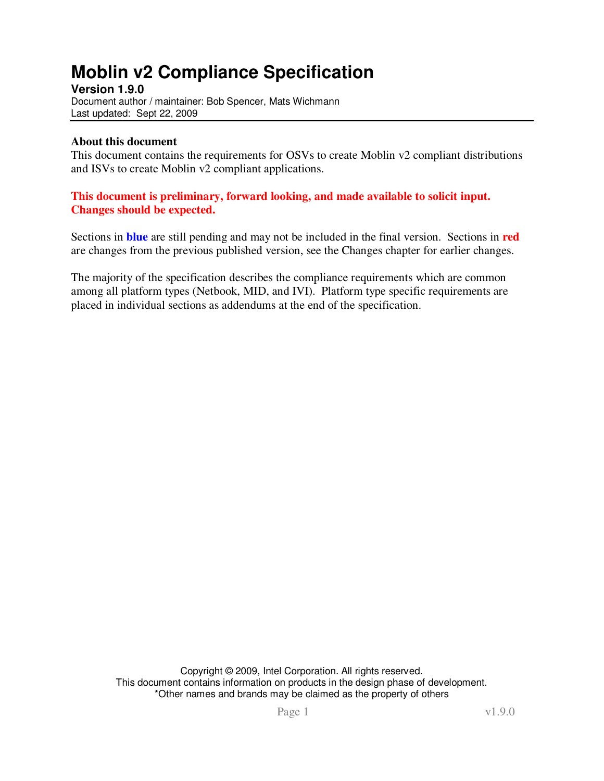# **Moblin v2 Compliance Specification**

**Version 1.9.0**  Document author / maintainer: Bob Spencer, Mats Wichmann Last updated: Sept 22, 2009

#### **About this document**

This document contains the requirements for OSVs to create Moblin v2 compliant distributions and ISVs to create Moblin v2 compliant applications.

#### **This document is preliminary, forward looking, and made available to solicit input. Changes should be expected.**

Sections in **blue** are still pending and may not be included in the final version. Sections in **red** are changes from the previous published version, see the Changes chapter for earlier changes.

The majority of the specification describes the compliance requirements which are common among all platform types (Netbook, MID, and IVI). Platform type specific requirements are placed in individual sections as addendums at the end of the specification.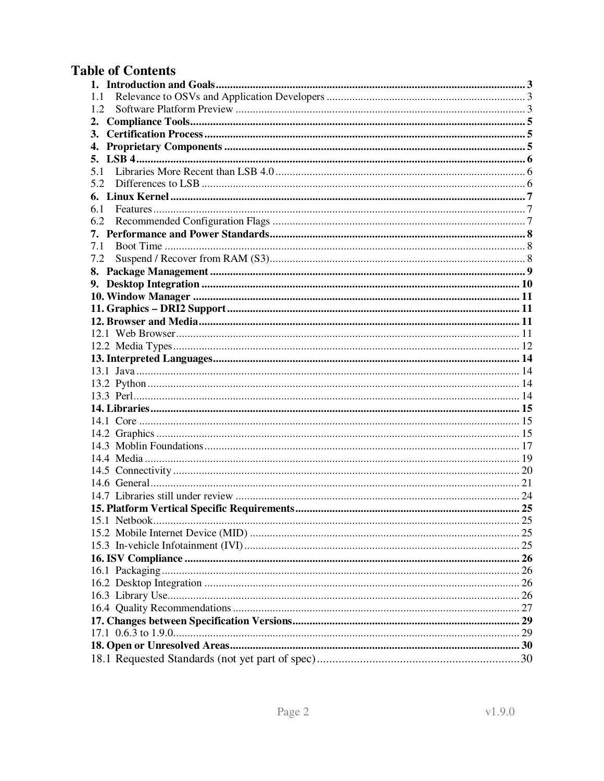## **Table of Contents**

| 1.1          |  |
|--------------|--|
| 1.2          |  |
| 2.           |  |
| 3.           |  |
| 4.           |  |
| 5.           |  |
|              |  |
| 5.2          |  |
| 6.           |  |
| 6.1          |  |
| 6.2          |  |
| 7.           |  |
| 7.1          |  |
| 7.2          |  |
| 8.           |  |
| 9.           |  |
|              |  |
|              |  |
|              |  |
|              |  |
|              |  |
|              |  |
|              |  |
|              |  |
|              |  |
|              |  |
|              |  |
|              |  |
|              |  |
|              |  |
|              |  |
|              |  |
|              |  |
|              |  |
| 15.1 Nethook |  |
|              |  |
|              |  |
|              |  |
|              |  |
|              |  |
|              |  |
|              |  |
|              |  |
|              |  |
|              |  |
|              |  |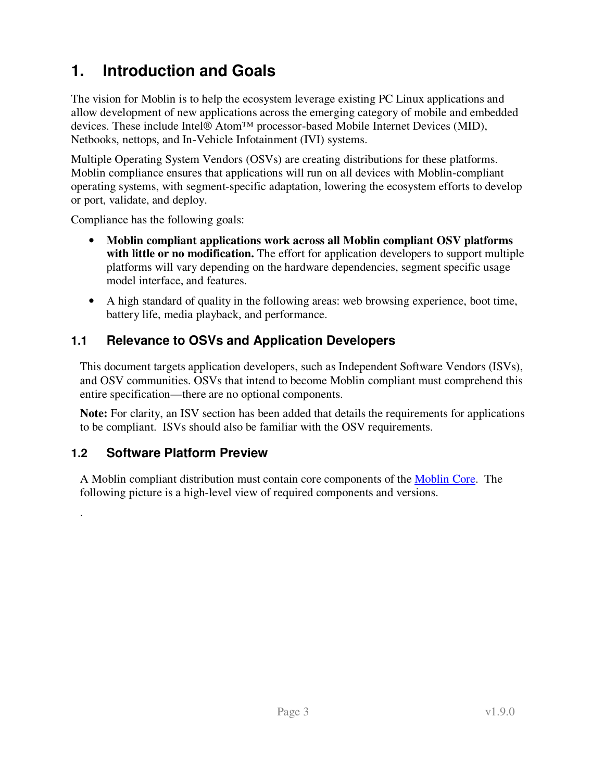# **1. Introduction and Goals**

The vision for Moblin is to help the ecosystem leverage existing PC Linux applications and allow development of new applications across the emerging category of mobile and embedded devices. These include Intel® Atom™ processor-based Mobile Internet Devices (MID), Netbooks, nettops, and In-Vehicle Infotainment (IVI) systems.

Multiple Operating System Vendors (OSVs) are creating distributions for these platforms. Moblin compliance ensures that applications will run on all devices with Moblin-compliant operating systems, with segment-specific adaptation, lowering the ecosystem efforts to develop or port, validate, and deploy.

Compliance has the following goals:

- **Moblin compliant applications work across all Moblin compliant OSV platforms with little or no modification.** The effort for application developers to support multiple platforms will vary depending on the hardware dependencies, segment specific usage model interface, and features.
- A high standard of quality in the following areas: web browsing experience, boot time, battery life, media playback, and performance.

## **1.1 Relevance to OSVs and Application Developers**

This document targets application developers, such as Independent Software Vendors (ISVs), and OSV communities. OSVs that intend to become Moblin compliant must comprehend this entire specification—there are no optional components.

**Note:** For clarity, an ISV section has been added that details the requirements for applications to be compliant. ISVs should also be familiar with the OSV requirements.

### **1.2 Software Platform Preview**

.

A Moblin compliant distribution must contain core components of the Moblin Core. The following picture is a high-level view of required components and versions.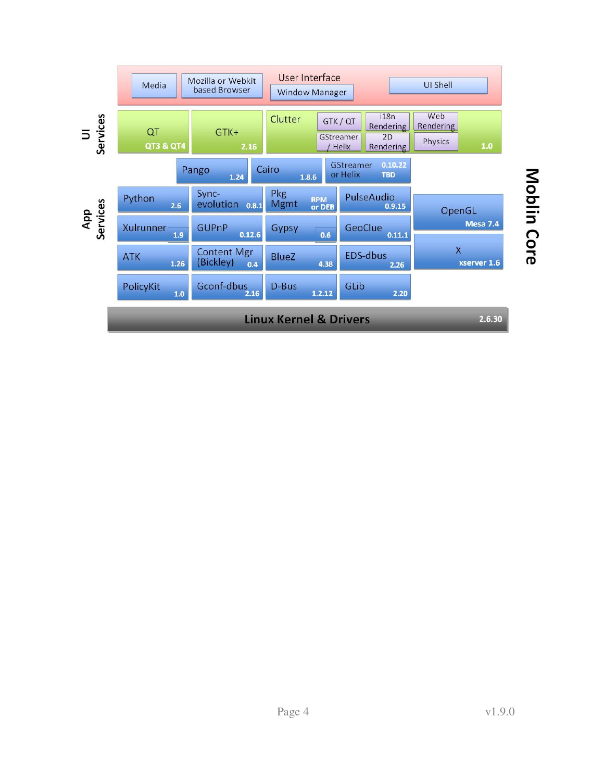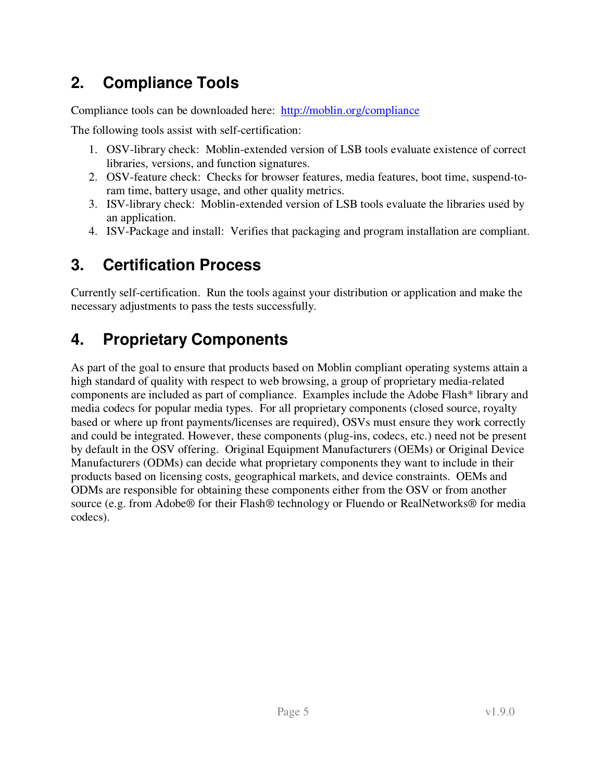# **2. Compliance Tools**

Compliance tools can be downloaded here: http://moblin.org/compliance

The following tools assist with self-certification:

- 1. OSV-library check: Moblin-extended version of LSB tools evaluate existence of correct libraries, versions, and function signatures.
- 2. OSV-feature check: Checks for browser features, media features, boot time, suspend-toram time, battery usage, and other quality metrics.
- 3. ISV-library check: Moblin-extended version of LSB tools evaluate the libraries used by an application.
- 4. ISV-Package and install: Verifies that packaging and program installation are compliant.

## **3. Certification Process**

Currently self-certification. Run the tools against your distribution or application and make the necessary adjustments to pass the tests successfully.

# **4. Proprietary Components**

As part of the goal to ensure that products based on Moblin compliant operating systems attain a high standard of quality with respect to web browsing, a group of proprietary media-related components are included as part of compliance. Examples include the Adobe Flash\* library and media codecs for popular media types. For all proprietary components (closed source, royalty based or where up front payments/licenses are required), OSVs must ensure they work correctly and could be integrated. However, these components (plug-ins, codecs, etc.) need not be present by default in the OSV offering. Original Equipment Manufacturers (OEMs) or Original Device Manufacturers (ODMs) can decide what proprietary components they want to include in their products based on licensing costs, geographical markets, and device constraints. OEMs and ODMs are responsible for obtaining these components either from the OSV or from another source (e.g. from Adobe® for their Flash® technology or Fluendo or RealNetworks® for media codecs).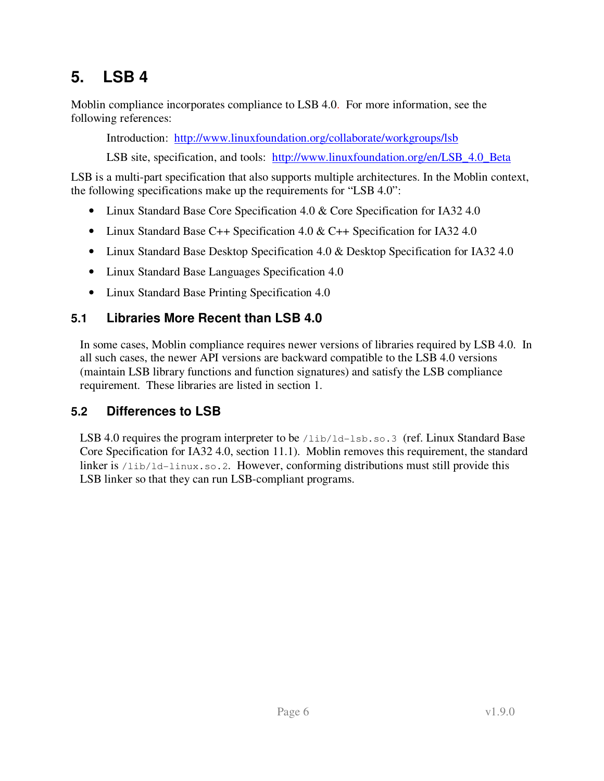# **5. LSB 4**

Moblin compliance incorporates compliance to LSB 4.0. For more information, see the following references:

Introduction: http://www.linuxfoundation.org/collaborate/workgroups/lsb

LSB site, specification, and tools: http://www.linuxfoundation.org/en/LSB\_4.0\_Beta

LSB is a multi-part specification that also supports multiple architectures. In the Moblin context, the following specifications make up the requirements for "LSB 4.0":

- Linux Standard Base Core Specification 4.0 & Core Specification for IA32 4.0
- Linux Standard Base C++ Specification 4.0 & C++ Specification for IA32 4.0
- Linux Standard Base Desktop Specification 4.0 & Desktop Specification for IA32 4.0
- Linux Standard Base Languages Specification 4.0
- Linux Standard Base Printing Specification 4.0

## **5.1 Libraries More Recent than LSB 4.0**

In some cases, Moblin compliance requires newer versions of libraries required by LSB 4.0. In all such cases, the newer API versions are backward compatible to the LSB 4.0 versions (maintain LSB library functions and function signatures) and satisfy the LSB compliance requirement. These libraries are listed in section 1.

## **5.2 Differences to LSB**

LSB 4.0 requires the program interpreter to be /lib/ld-lsb.so.3 (ref. Linux Standard Base Core Specification for IA32 4.0, section 11.1). Moblin removes this requirement, the standard linker is /lib/ld-linux.so.2. However, conforming distributions must still provide this LSB linker so that they can run LSB-compliant programs.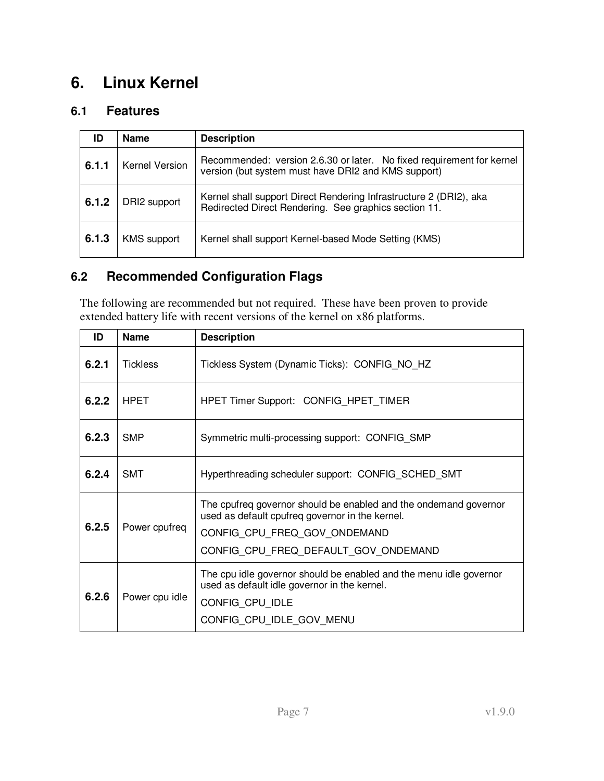## **6. Linux Kernel**

### **6.1 Features**

| ID    | <b>Name</b>        | <b>Description</b>                                                                                                           |
|-------|--------------------|------------------------------------------------------------------------------------------------------------------------------|
| 6.1.1 | Kernel Version     | Recommended: version 2.6.30 or later. No fixed requirement for kernel<br>version (but system must have DRI2 and KMS support) |
| 6.1.2 | DRI2 support       | Kernel shall support Direct Rendering Infrastructure 2 (DRI2), aka<br>Redirected Direct Rendering. See graphics section 11.  |
| 6.1.3 | <b>KMS</b> support | Kernel shall support Kernel-based Mode Setting (KMS)                                                                         |

## **6.2 Recommended Configuration Flags**

The following are recommended but not required. These have been proven to provide extended battery life with recent versions of the kernel on x86 platforms.

| ID    | <b>Name</b>     | <b>Description</b>                                                                                                                                                                          |
|-------|-----------------|---------------------------------------------------------------------------------------------------------------------------------------------------------------------------------------------|
| 6.2.1 | <b>Tickless</b> | Tickless System (Dynamic Ticks): CONFIG_NO_HZ                                                                                                                                               |
| 6.2.2 | <b>HPET</b>     | HPET Timer Support: CONFIG_HPET_TIMER                                                                                                                                                       |
| 6.2.3 | <b>SMP</b>      | Symmetric multi-processing support: CONFIG_SMP                                                                                                                                              |
| 6.2.4 | <b>SMT</b>      | Hyperthreading scheduler support: CONFIG_SCHED_SMT                                                                                                                                          |
| 6.2.5 | Power cpufreq   | The cpufreq governor should be enabled and the ondemand governor<br>used as default cpufreq governor in the kernel.<br>CONFIG CPU FREQ GOV ONDEMAND<br>CONFIG CPU FREQ DEFAULT GOV ONDEMAND |
| 6.2.6 | Power cpu idle  | The cpu idle governor should be enabled and the menu idle governor<br>used as default idle governor in the kernel.<br>CONFIG CPU IDLE<br>CONFIG_CPU_IDLE_GOV_MENU                           |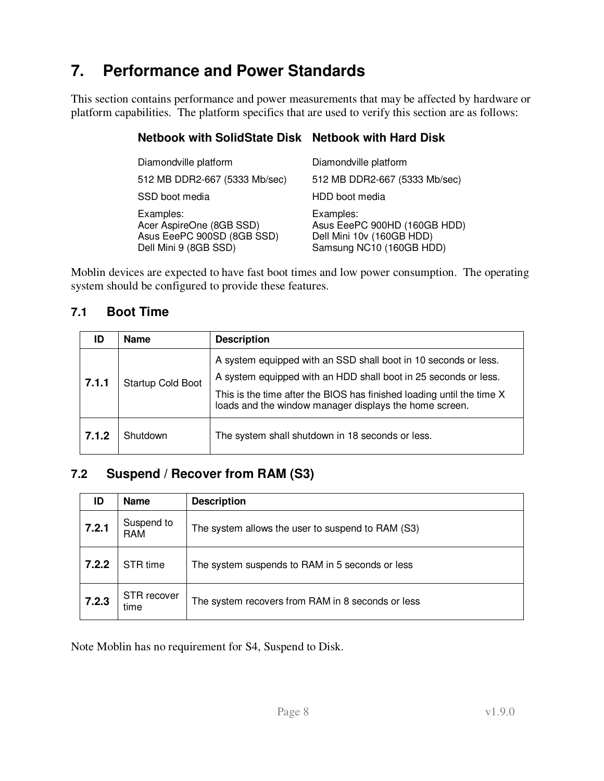# **7. Performance and Power Standards**

This section contains performance and power measurements that may be affected by hardware or platform capabilities. The platform specifics that are used to verify this section are as follows:

#### **Netbook with SolidState Disk Netbook with Hard Disk**

| Diamondville platform                                                                        | Diamondville platform                                                                              |
|----------------------------------------------------------------------------------------------|----------------------------------------------------------------------------------------------------|
| 512 MB DDR2-667 (5333 Mb/sec)                                                                | 512 MB DDR2-667 (5333 Mb/sec)                                                                      |
| SSD boot media                                                                               | HDD boot media                                                                                     |
| Examples:<br>Acer AspireOne (8GB SSD)<br>Asus EeePC 900SD (8GB SSD)<br>Dell Mini 9 (8GB SSD) | Examples:<br>Asus EeePC 900HD (160GB HDD)<br>Dell Mini 10v (160GB HDD)<br>Samsung NC10 (160GB HDD) |

Moblin devices are expected to have fast boot times and low power consumption. The operating system should be configured to provide these features.

#### **7.1 Boot Time**

| ID    | <b>Name</b>       | <b>Description</b>                                                                                                                                                                                                                                                    |
|-------|-------------------|-----------------------------------------------------------------------------------------------------------------------------------------------------------------------------------------------------------------------------------------------------------------------|
| 7.1.1 | Startup Cold Boot | A system equipped with an SSD shall boot in 10 seconds or less.<br>A system equipped with an HDD shall boot in 25 seconds or less.<br>This is the time after the BIOS has finished loading until the time X<br>loads and the window manager displays the home screen. |
| 7.1.2 | Shutdown          | The system shall shutdown in 18 seconds or less.                                                                                                                                                                                                                      |

### **7.2 Suspend / Recover from RAM (S3)**

| ID    | <b>Name</b>         | <b>Description</b>                                |
|-------|---------------------|---------------------------------------------------|
| 7.2.1 | Suspend to<br>RAM   | The system allows the user to suspend to RAM (S3) |
| 7.2.2 | STR time            | The system suspends to RAM in 5 seconds or less   |
| 7.2.3 | STR recover<br>time | The system recovers from RAM in 8 seconds or less |

Note Moblin has no requirement for S4, Suspend to Disk.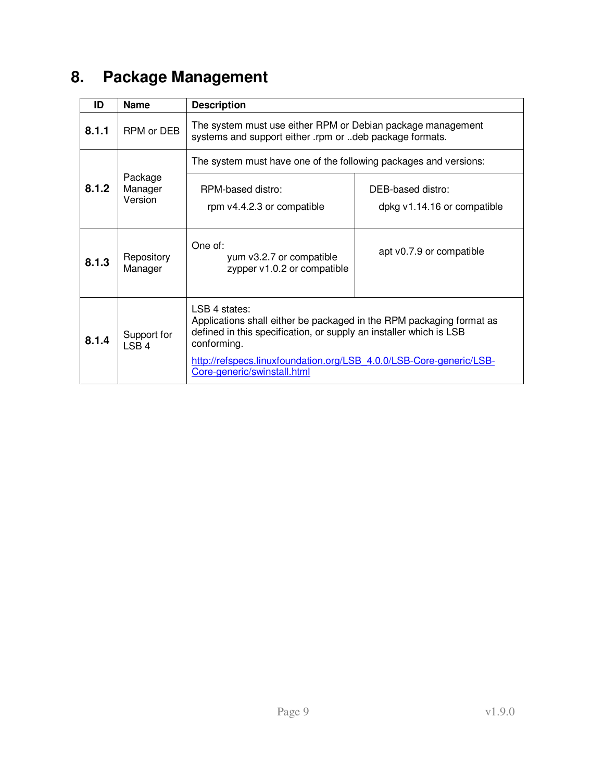# **8. Package Management**

| ID    | <b>Name</b>                     | <b>Description</b>                                                                                                                                                                                                                                                               |                                                  |
|-------|---------------------------------|----------------------------------------------------------------------------------------------------------------------------------------------------------------------------------------------------------------------------------------------------------------------------------|--------------------------------------------------|
| 8.1.1 | RPM or DEB                      | The system must use either RPM or Debian package management<br>systems and support either .rpm or deb package formats.                                                                                                                                                           |                                                  |
|       |                                 | The system must have one of the following packages and versions:                                                                                                                                                                                                                 |                                                  |
| 8.1.2 | Package<br>Manager<br>Version   | RPM-based distro:<br>rpm v4.4.2.3 or compatible                                                                                                                                                                                                                                  | DEB-based distro:<br>dpkg v1.14.16 or compatible |
| 8.1.3 | Repository<br>Manager           | One of:<br>yum v3.2.7 or compatible<br>zypper v1.0.2 or compatible                                                                                                                                                                                                               | apt v0.7.9 or compatible                         |
| 8.1.4 | Support for<br>LSB <sub>4</sub> | LSB 4 states:<br>Applications shall either be packaged in the RPM packaging format as<br>defined in this specification, or supply an installer which is LSB<br>conforming.<br>http://refspecs.linuxfoundation.org/LSB 4.0.0/LSB-Core-generic/LSB-<br>Core-generic/swinstall.html |                                                  |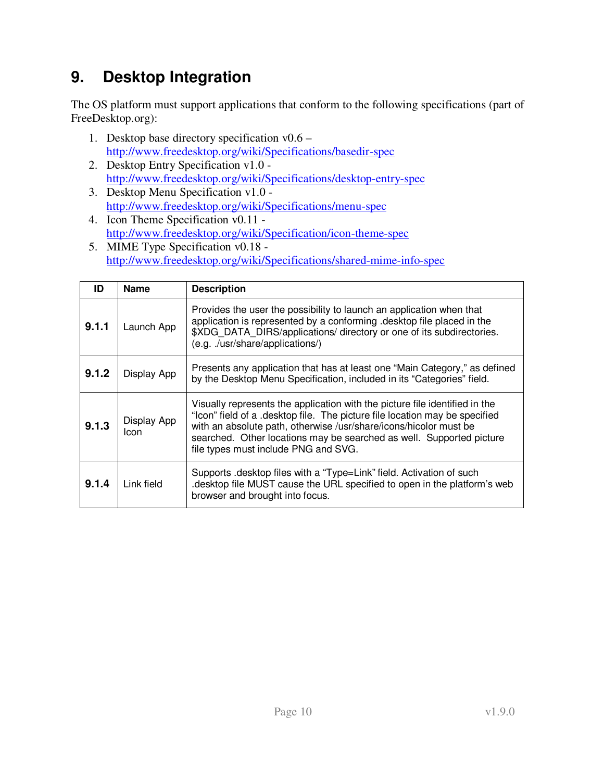# **9. Desktop Integration**

The OS platform must support applications that conform to the following specifications (part of FreeDesktop.org):

- 1. Desktop base directory specification v0.6 http://www.freedesktop.org/wiki/Specifications/basedir-spec
- 2. Desktop Entry Specification v1.0 http://www.freedesktop.org/wiki/Specifications/desktop-entry-spec
- 3. Desktop Menu Specification v1.0 http://www.freedesktop.org/wiki/Specifications/menu-spec
- 4. Icon Theme Specification v0.11 http://www.freedesktop.org/wiki/Specification/icon-theme-spec
- 5. MIME Type Specification v0.18 http://www.freedesktop.org/wiki/Specifications/shared-mime-info-spec

| ID    | <b>Name</b>         | <b>Description</b>                                                                                                                                                                                                                                                                                                                              |
|-------|---------------------|-------------------------------------------------------------------------------------------------------------------------------------------------------------------------------------------------------------------------------------------------------------------------------------------------------------------------------------------------|
| 9.1.1 | Launch App          | Provides the user the possibility to launch an application when that<br>application is represented by a conforming .desktop file placed in the<br>\$XDG DATA DIRS/applications/ directory or one of its subdirectories.<br>(e.g. ./usr/share/applications/)                                                                                     |
| 9.1.2 | Display App         | Presents any application that has at least one "Main Category," as defined<br>by the Desktop Menu Specification, included in its "Categories" field.                                                                                                                                                                                            |
| 9.1.3 | Display App<br>Icon | Visually represents the application with the picture file identified in the<br>"Icon" field of a .desktop file. The picture file location may be specified<br>with an absolute path, otherwise /usr/share/icons/hicolor must be<br>searched. Other locations may be searched as well. Supported picture<br>file types must include PNG and SVG. |
| 9.1.4 | Link field          | Supports .desktop files with a "Type=Link" field. Activation of such<br>desktop file MUST cause the URL specified to open in the platform's web<br>browser and brought into focus.                                                                                                                                                              |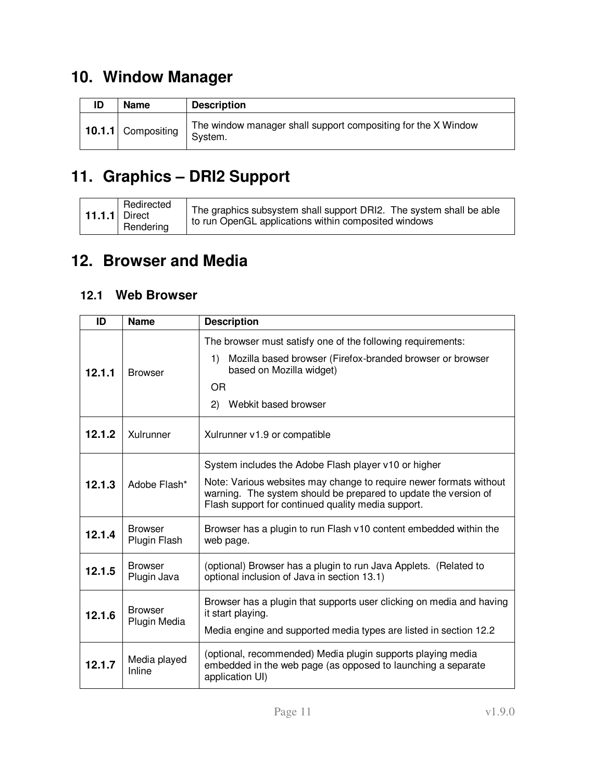# **10. Window Manager**

| ID | <b>Name</b>        | <b>Description</b>                                                       |
|----|--------------------|--------------------------------------------------------------------------|
|    | 10.1.1 Compositing | The window manager shall support compositing for the X Window<br>System. |

# **11. Graphics – DRI2 Support**

|  | Redirected<br>11.1.1 Direct<br>Rendering | The graphics subsystem shall support DRI2. The system shall be able<br>to run OpenGL applications within composited windows |
|--|------------------------------------------|-----------------------------------------------------------------------------------------------------------------------------|
|--|------------------------------------------|-----------------------------------------------------------------------------------------------------------------------------|

# **12. Browser and Media**

## **12.1 Web Browser**

| ID     | <b>Name</b>                    | <b>Description</b>                                                                                                                                                                                                                                  |
|--------|--------------------------------|-----------------------------------------------------------------------------------------------------------------------------------------------------------------------------------------------------------------------------------------------------|
| 12.1.1 | <b>Browser</b>                 | The browser must satisfy one of the following requirements:<br>Mozilla based browser (Firefox-branded browser or browser<br>1)<br>based on Mozilla widget)<br>OR<br>Webkit based browser<br>(2)                                                     |
| 12.1.2 | Xulrunner                      | Xulrunner v1.9 or compatible                                                                                                                                                                                                                        |
| 12.1.3 | Adobe Flash*                   | System includes the Adobe Flash player v10 or higher<br>Note: Various websites may change to require newer formats without<br>warning. The system should be prepared to update the version of<br>Flash support for continued quality media support. |
| 12.1.4 | <b>Browser</b><br>Plugin Flash | Browser has a plugin to run Flash v10 content embedded within the<br>web page.                                                                                                                                                                      |
| 12.1.5 | <b>Browser</b><br>Plugin Java  | (optional) Browser has a plugin to run Java Applets. (Related to<br>optional inclusion of Java in section 13.1)                                                                                                                                     |
| 12.1.6 | <b>Browser</b><br>Plugin Media | Browser has a plugin that supports user clicking on media and having<br>it start playing.<br>Media engine and supported media types are listed in section 12.2                                                                                      |
| 12.1.7 | Media played<br>Inline         | (optional, recommended) Media plugin supports playing media<br>embedded in the web page (as opposed to launching a separate<br>application UI)                                                                                                      |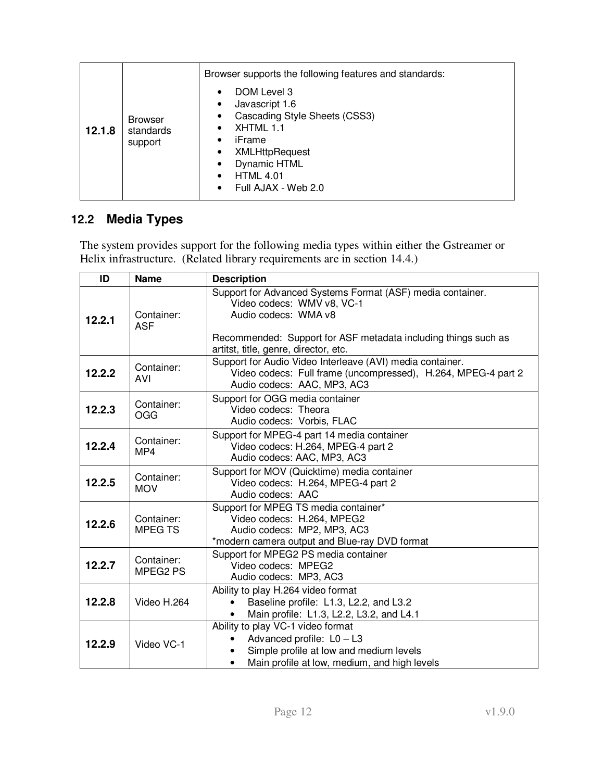|        |                                        | Browser supports the following features and standards:<br>DOM Level 3                                                                                                                            |
|--------|----------------------------------------|--------------------------------------------------------------------------------------------------------------------------------------------------------------------------------------------------|
| 12.1.8 | <b>Browser</b><br>standards<br>support | Javascript 1.6<br>Cascading Style Sheets (CSS3)<br>$\bullet$<br>XHTML 1.1<br>iFrame<br><b>XMLHttpRequest</b><br>٠<br><b>Dynamic HTML</b><br><b>HTML 4.01</b><br>$\bullet$<br>Full AJAX - Web 2.0 |

## **12.2 Media Types**

The system provides support for the following media types within either the Gstreamer or Helix infrastructure. (Related library requirements are in section 14.4.)

| ID     | <b>Name</b>                 | <b>Description</b>                                                                                                                                                                                                          |
|--------|-----------------------------|-----------------------------------------------------------------------------------------------------------------------------------------------------------------------------------------------------------------------------|
| 12.2.1 | Container:<br><b>ASF</b>    | Support for Advanced Systems Format (ASF) media container.<br>Video codecs: WMV v8, VC-1<br>Audio codecs: WMA v8<br>Recommended: Support for ASF metadata including things such as<br>artitst, title, genre, director, etc. |
| 12.2.2 | Container:<br><b>AVI</b>    | Support for Audio Video Interleave (AVI) media container.<br>Video codecs: Full frame (uncompressed), H.264, MPEG-4 part 2<br>Audio codecs: AAC, MP3, AC3                                                                   |
| 12.2.3 | Container:<br>OGG           | Support for OGG media container<br>Video codecs: Theora<br>Audio codecs: Vorbis, FLAC                                                                                                                                       |
| 12.2.4 | Container:<br>MP4           | Support for MPEG-4 part 14 media container<br>Video codecs: H.264, MPEG-4 part 2<br>Audio codecs: AAC, MP3, AC3                                                                                                             |
| 12.2.5 | Container:<br><b>MOV</b>    | Support for MOV (Quicktime) media container<br>Video codecs: H.264, MPEG-4 part 2<br>Audio codecs: AAC                                                                                                                      |
| 12.2.6 | Container:<br><b>MPEGTS</b> | Support for MPEG TS media container*<br>Video codecs: H.264, MPEG2<br>Audio codecs: MP2, MP3, AC3<br>*modern camera output and Blue-ray DVD format                                                                          |
| 12.2.7 | Container:<br>MPEG2 PS      | Support for MPEG2 PS media container<br>Video codecs: MPEG2<br>Audio codecs: MP3, AC3                                                                                                                                       |
| 12.2.8 | Video H.264                 | Ability to play H.264 video format<br>Baseline profile: L1.3, L2.2, and L3.2<br>Main profile: L1.3, L2.2, L3.2, and L4.1                                                                                                    |
| 12.2.9 | Video VC-1                  | Ability to play VC-1 video format<br>Advanced profile: $L0 - L3$<br>Simple profile at low and medium levels<br>Main profile at low, medium, and high levels<br>$\bullet$                                                    |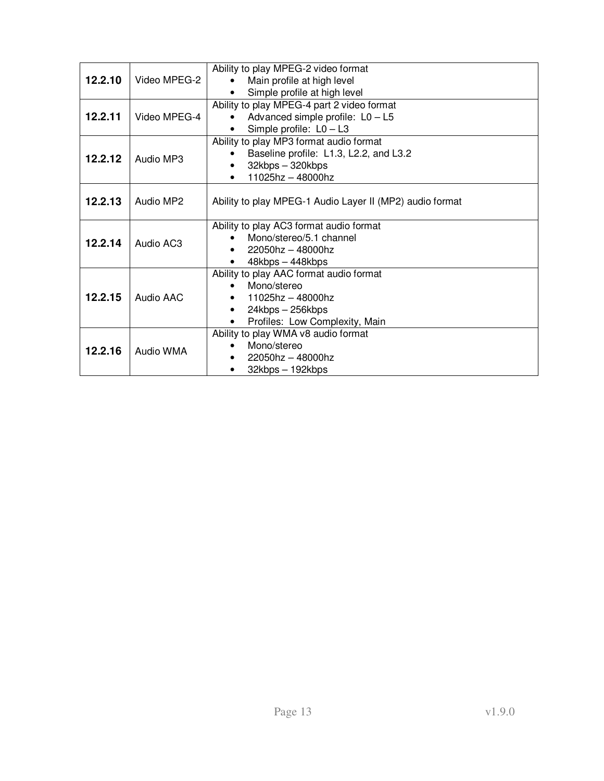| 12.2.10 | Video MPEG-2 | Ability to play MPEG-2 video format<br>Main profile at high level<br>Simple profile at high level                                                           |
|---------|--------------|-------------------------------------------------------------------------------------------------------------------------------------------------------------|
| 12.2.11 | Video MPEG-4 | Ability to play MPEG-4 part 2 video format<br>Advanced simple profile: $L0 - L5$<br>Simple profile: $L0 - L3$<br>$\bullet$                                  |
| 12.2.12 | Audio MP3    | Ability to play MP3 format audio format<br>Baseline profile: L1.3, L2.2, and L3.2<br>32kbps - 320kbps<br>11025hz - 48000hz                                  |
| 12.2.13 | Audio MP2    | Ability to play MPEG-1 Audio Layer II (MP2) audio format                                                                                                    |
| 12.2.14 | Audio AC3    | Ability to play AC3 format audio format<br>Mono/stereo/5.1 channel<br>$22050$ hz - 48000hz<br>48kbps - 448kbps                                              |
| 12.2.15 | Audio AAC    | Ability to play AAC format audio format<br>Mono/stereo<br>$\bullet$<br>11025hz - 48000hz<br>$\bullet$<br>24kbps - 256kbps<br>Profiles: Low Complexity, Main |
| 12.2.16 | Audio WMA    | Ability to play WMA v8 audio format<br>Mono/stereo<br>$22050$ hz - 48000hz<br>32kbps - 192kbps<br>$\bullet$                                                 |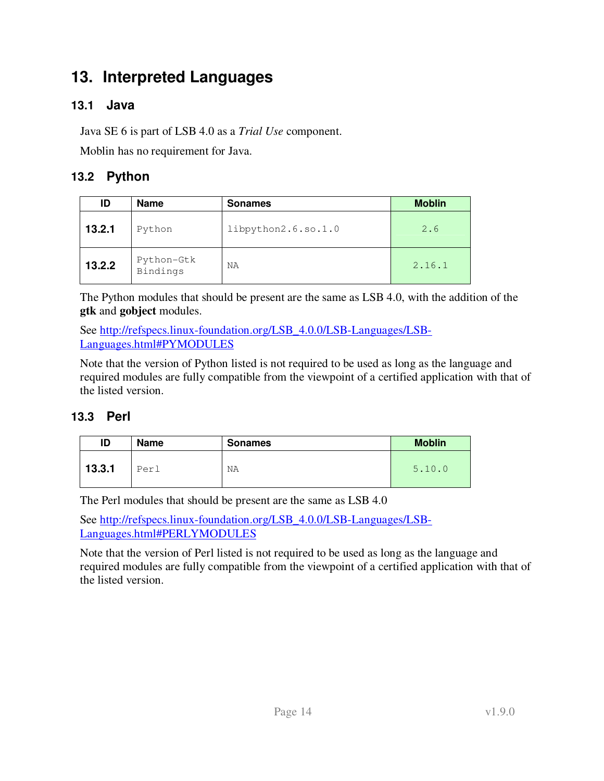## **13. Interpreted Languages**

### **13.1 Java**

Java SE 6 is part of LSB 4.0 as a *Trial Use* component.

Moblin has no requirement for Java.

### **13.2 Python**

| ID     | <b>Name</b>            | <b>Sonames</b>      | <b>Moblin</b> |
|--------|------------------------|---------------------|---------------|
| 13.2.1 | Python                 | libpython2.6.so.1.0 | 2.6           |
| 13.2.2 | Python-Gtk<br>Bindings | ΝA                  | 2.16.1        |

The Python modules that should be present are the same as LSB 4.0, with the addition of the **gtk** and **gobject** modules.

See http://refspecs.linux-foundation.org/LSB\_4.0.0/LSB-Languages/LSB-Languages.html#PYMODULES

Note that the version of Python listed is not required to be used as long as the language and required modules are fully compatible from the viewpoint of a certified application with that of the listed version.

### **13.3 Perl**

| ID     | Name | <b>Sonames</b> | <b>Moblin</b> |
|--------|------|----------------|---------------|
| 13.3.1 | Perl | ΝA             | 5.10.0        |

The Perl modules that should be present are the same as LSB 4.0

See http://refspecs.linux-foundation.org/LSB\_4.0.0/LSB-Languages/LSB-Languages.html#PERLYMODULES

Note that the version of Perl listed is not required to be used as long as the language and required modules are fully compatible from the viewpoint of a certified application with that of the listed version.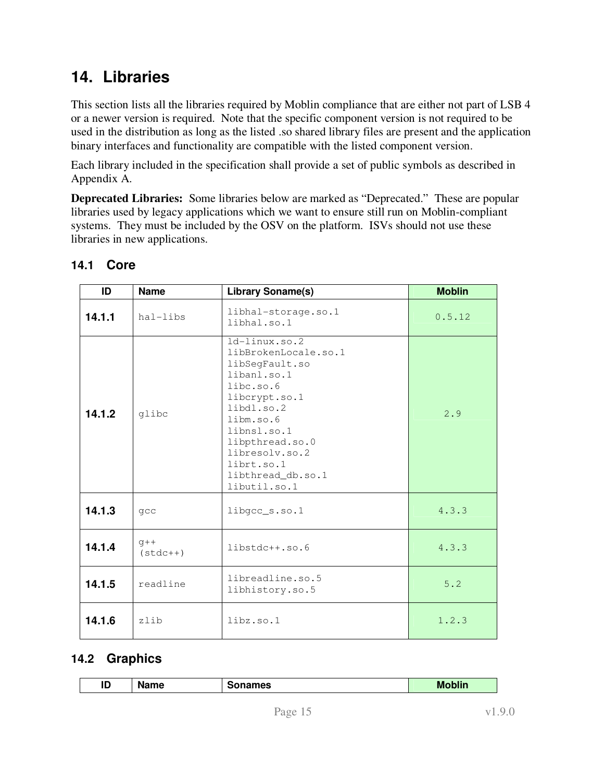## **14. Libraries**

This section lists all the libraries required by Moblin compliance that are either not part of LSB 4 or a newer version is required. Note that the specific component version is not required to be used in the distribution as long as the listed .so shared library files are present and the application binary interfaces and functionality are compatible with the listed component version.

Each library included in the specification shall provide a set of public symbols as described in Appendix A.

**Deprecated Libraries:** Some libraries below are marked as "Deprecated." These are popular libraries used by legacy applications which we want to ensure still run on Moblin-compliant systems. They must be included by the OSV on the platform. ISVs should not use these libraries in new applications.

| ID     | <b>Name</b>         | <b>Library Soname(s)</b>                                                                                                                                                                                                                  | <b>Moblin</b> |
|--------|---------------------|-------------------------------------------------------------------------------------------------------------------------------------------------------------------------------------------------------------------------------------------|---------------|
| 14.1.1 | hal-libs            | libhal-storage.so.1<br>libhal.so.1                                                                                                                                                                                                        | 0.5.12        |
| 14.1.2 | glibc               | $1d-1$ inux.so.2<br>libBrokenLocale.so.1<br>libSeqFault.so<br>libanl.so.1<br>libc.so.6<br>libcrypt.so.1<br>libdl.so.2<br>libm.so.6<br>libnsl.so.1<br>libpthread.so.0<br>libresolv.so.2<br>librt.so.1<br>libthread_db.so.1<br>libutil.so.1 | 2.9           |
| 14.1.3 | qcc                 | libgcc_s.so.1                                                                                                                                                                                                                             | 4.3.3         |
| 14.1.4 | $q++$<br>$(stat++)$ | libstdc++.so.6                                                                                                                                                                                                                            | 4.3.3         |
| 14.1.5 | readline            | libreadline.so.5<br>libhistory.so.5                                                                                                                                                                                                       | 5.2           |
| 14.1.6 | zlib                | $libz$ .so.1                                                                                                                                                                                                                              | 1.2.3         |

### **14.1 Core**

### **14.2 Graphics**

| ID.<br>שו | . .<br>$\mathbf{m}$<br>vallic | names | <b>Moblin</b> |
|-----------|-------------------------------|-------|---------------|
|           |                               |       |               |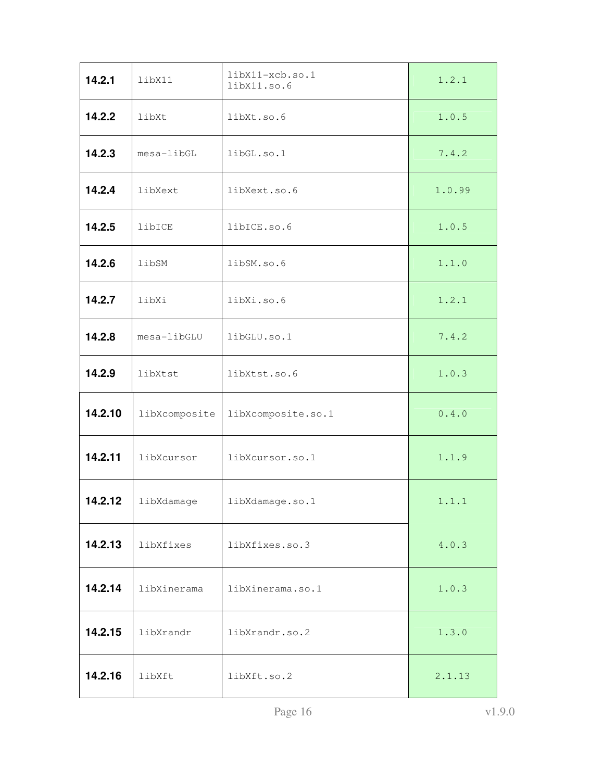| 14.2.1  | libX11        | libX11-xcb.so.1<br>libX11.so.6 | 1.2.1  |
|---------|---------------|--------------------------------|--------|
| 14.2.2  | libXt         | libXt.so.6                     | 1.0.5  |
| 14.2.3  | mesa-libGL    | libGL.so.1                     | 7.4.2  |
| 14.2.4  | libXext       | libXext.so.6                   | 1.0.99 |
| 14.2.5  | libICE        | libICE.so.6                    | 1.0.5  |
| 14.2.6  | libSM         | libSM.so.6                     | 1.1.0  |
| 14.2.7  | libXi         | libXi.so.6                     | 1.2.1  |
| 14.2.8  | mesa-libGLU   | libGLU.so.1                    | 7.4.2  |
| 14.2.9  | libXtst       | libXtst.so.6                   | 1.0.3  |
| 14.2.10 | libXcomposite | libXcomposite.so.1             | 0.4.0  |
| 14.2.11 | libXcursor    | libXcursor.so.1                | 1.1.9  |
| 14.2.12 | libXdamage    | libXdamage.so.1                | 1.1.1  |
| 14.2.13 | libXfixes     | libXfixes.so.3                 | 4.0.3  |
| 14.2.14 | libXinerama   | libXinerama.so.1               | 1.0.3  |
| 14.2.15 | libXrandr     | libXrandr.so.2                 | 1.3.0  |
| 14.2.16 | libXft        | libXft.so.2                    | 2.1.13 |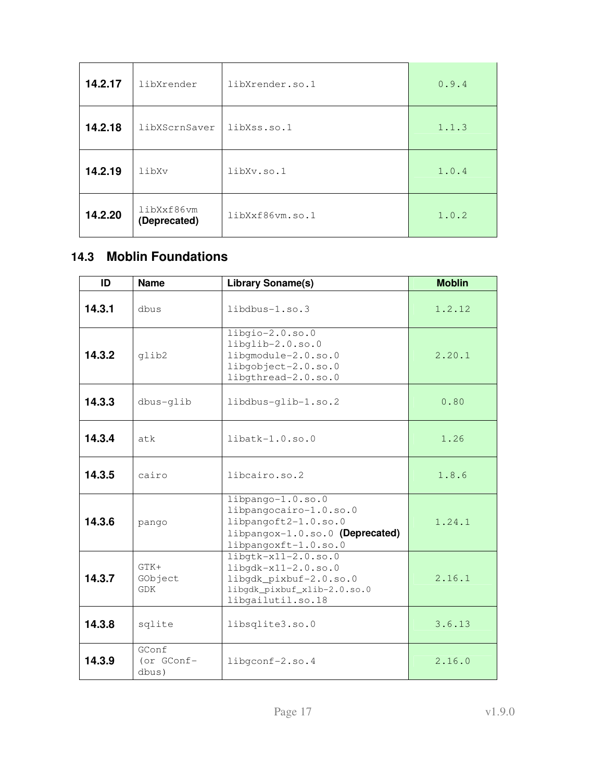| 14.2.17 | libXrender                 | libXrender.so.1 | 0.9.4 |
|---------|----------------------------|-----------------|-------|
| 14.2.18 | libXScrnSaver              | libXss.so.1     | 1.1.3 |
| 14.2.19 | libXv                      | libXv.so.1      | 1.0.4 |
| 14.2.20 | libXxf86vm<br>(Deprecated) | libXxf86vm.so.1 | 1.0.2 |

### **14.3 Moblin Foundations**

| ID     | <b>Name</b>                     | <b>Library Soname(s)</b>                                                                                                         | <b>Moblin</b> |
|--------|---------------------------------|----------------------------------------------------------------------------------------------------------------------------------|---------------|
| 14.3.1 | dhus                            | $libdbus-1.so.3$                                                                                                                 | 1.2.12        |
| 14.3.2 | qlib2                           | $libqio-2.0.so.0$<br>libglib-2.0.so.0<br>libgmodule-2.0.so.0<br>libgobject-2.0.so.0<br>libgthread-2.0.so.0                       | 2.20.1        |
| 14.3.3 | dbus-qlib                       | libdbus-glib-1.so.2                                                                                                              | 0.80          |
| 14.3.4 | atk                             | $libatk-1.0.so.0$                                                                                                                | 1.26          |
| 14.3.5 | cairo                           | libcairo.so.2                                                                                                                    | 1.8.6         |
| 14.3.6 | pango                           | $libpango-1.0.so.0$<br>libpangocairo-1.0.so.0<br>libpangoft2-1.0.so.0<br>libpangox-1.0.so.0 (Deprecated)<br>libpangoxft-1.0.so.0 | 1.24.1        |
| 14.3.7 | $GTK+$<br>GObject<br><b>GDK</b> | $libqtk-x11-2.0.so.0$<br>$libqdk-x11-2.0.so.0$<br>libgdk_pixbuf-2.0.so.0<br>libgdk_pixbuf_xlib-2.0.so.0<br>libgailutil.so.18     | 2.16.1        |
| 14.3.8 | sqlite                          | libsqlite3.so.0                                                                                                                  | 3.6.13        |
| 14.3.9 | GConf<br>(or GConf-<br>dbus)    | libgconf-2.so.4                                                                                                                  | 2.16.0        |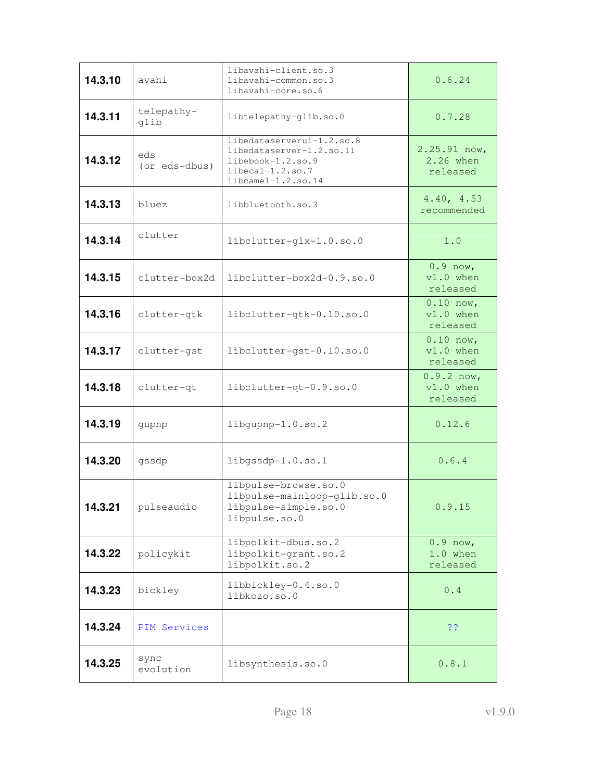| 14.3.10 | avahi                | libavahi-client.so.3<br>libavahi-common.so.3<br>libavahi-core.so.6                                                      | 0.6.24                                  |
|---------|----------------------|-------------------------------------------------------------------------------------------------------------------------|-----------------------------------------|
| 14.3.11 | telepathy-<br>glib   | libtelepathy-glib.so.0                                                                                                  | 0.7.28                                  |
| 14.3.12 | eds<br>(or eds-dbus) | libedataserverui-1.2.so.8<br>libedataserver-1.2.so.11<br>libebook-1.2.so.9<br>$liberal-1.2. so.7$<br>libcamel-1.2.so.14 | $2.25.91$ now,<br>2.26 when<br>released |
| 14.3.13 | bluez                | libbluetooth.so.3                                                                                                       | 4.40, 4.53<br>recommended               |
| 14.3.14 | clutter              | libclutter-glx-1.0.so.0                                                                                                 | 1.0                                     |
| 14.3.15 | clutter-box2d        | $libclutter-box2d-0.9.so.0$                                                                                             | $0.9$ now,<br>$v1.0$ when<br>released   |
| 14.3.16 | clutter-gtk          | libclutter-gtk-0.10.so.0                                                                                                | $0.10$ now,<br>$v1.0$ when<br>released  |
| 14.3.17 | clutter-gst          | libclutter-gst-0.10.so.0                                                                                                | $0.10$ now,<br>$v1.0$ when<br>released  |
| 14.3.18 | clutter-qt           | libclutter-qt-0.9.so.0                                                                                                  | $0.9.2$ now,<br>$v1.0$ when<br>released |
| 14.3.19 | gupnp                | libgupnp-1.0.so.2                                                                                                       | 0.12.6                                  |
| 14.3.20 | gssdp                | libgssdp-1.0.so.1                                                                                                       | 0.6.4                                   |
| 14.3.21 | pulseaudio           | libpulse-browse.so.0<br>libpulse-mainloop-glib.so.0<br>libpulse-simple.so.0<br>libpulse.so.0                            | 0.9.15                                  |
| 14.3.22 | policykit            | libpolkit-dbus.so.2<br>libpolkit-grant.so.2<br>libpolkit.so.2                                                           | $0.9$ now,<br>$1.0$ when<br>released    |
| 14.3.23 | bickley              | libbickley-0.4.so.0<br>libkozo.so.0                                                                                     | 0.4                                     |
| 14.3.24 | PIM Services         |                                                                                                                         | 33                                      |
| 14.3.25 | sync<br>evolution    | libsynthesis.so.0                                                                                                       | 0.8.1                                   |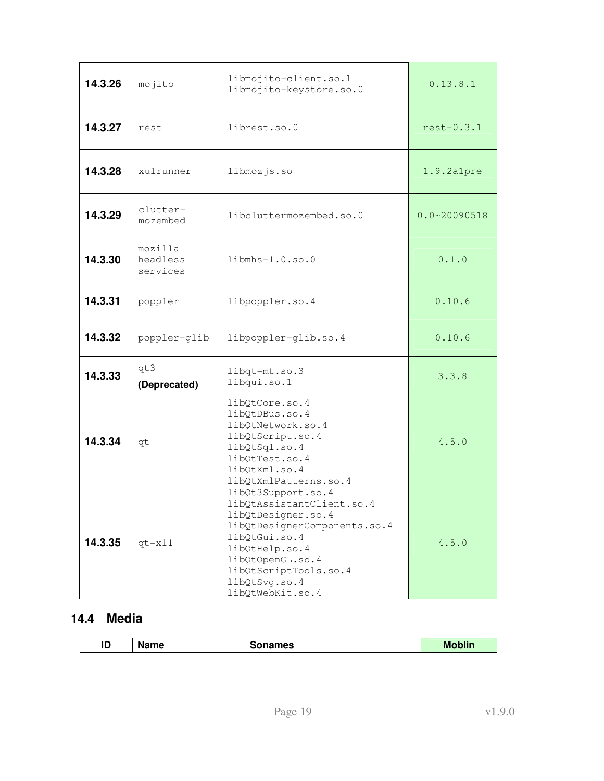| 14.3.26 | mojito                          | libmojito-client.so.1<br>libmojito-keystore.so.0                                                                                                                                                                           | 0.13.8.1         |
|---------|---------------------------------|----------------------------------------------------------------------------------------------------------------------------------------------------------------------------------------------------------------------------|------------------|
| 14.3.27 | rest                            | librest.so.0                                                                                                                                                                                                               | $rest-0.3.1$     |
| 14.3.28 | xulrunner                       | libmozjs.so                                                                                                                                                                                                                | $1.9.2$ alpre    |
| 14.3.29 | clutter-<br>mozembed            | libcluttermozembed.so.0                                                                                                                                                                                                    | $0.0 - 20090518$ |
| 14.3.30 | mozilla<br>headless<br>services | $libmhs-1.0.so.0$                                                                                                                                                                                                          | 0.1.0            |
| 14.3.31 | poppler                         | libpoppler.so.4                                                                                                                                                                                                            | 0.10.6           |
| 14.3.32 | poppler-glib                    | libpoppler-glib.so.4                                                                                                                                                                                                       | 0.10.6           |
| 14.3.33 | qt3<br>(Deprecated)             | libqt-mt.so.3<br>libqui.so.1                                                                                                                                                                                               | 3.3.8            |
| 14.3.34 | qt                              | libQtCore.so.4<br>libQtDBus.so.4<br>libQtNetwork.so.4<br>libQtScript.so.4<br>libQtSql.so.4<br>libQtTest.so.4<br>libQtXml.so.4<br>libQtXmlPatterns.so.4                                                                     | 4.5.0            |
| 14.3.35 | $qt - x11$                      | libQt3Support.so.4<br>libOtAssistantClient.so.4<br>libQtDesigner.so.4<br>libQtDesignerComponents.so.4<br>libQtGui.so.4<br>libQtHelp.so.4<br>libQtOpenGL.so.4<br>libQtScriptTools.so.4<br>libQtSvg.so.4<br>libQtWebKit.so.4 | 4.5.0            |

### **14.4 Media**

| ID<br>oblin.<br>Name.<br>mes<br>мc<br>æ. |
|------------------------------------------|
|------------------------------------------|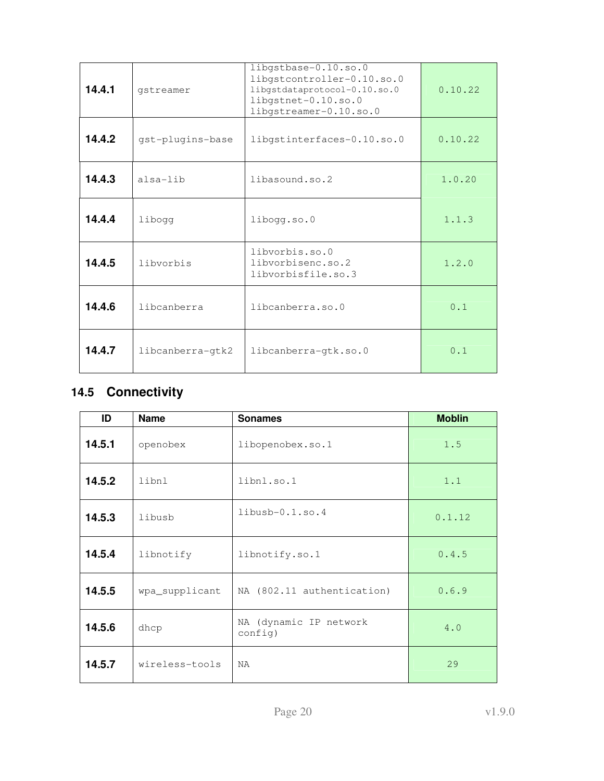| 14.4.1 | gstreamer        | libgstbase-0.10.so.0<br>libgstcontroller-0.10.so.0<br>libgstdataprotocol-0.10.so.0<br>libgstnet-0.10.so.0<br>libgstreamer-0.10.so.0 | 0.10.22 |
|--------|------------------|-------------------------------------------------------------------------------------------------------------------------------------|---------|
| 14.4.2 | gst-plugins-base | libgstinterfaces-0.10.so.0                                                                                                          | 0.10.22 |
| 14.4.3 | alsa-lib         | libasound.so.2                                                                                                                      | 1.0.20  |
| 14.4.4 | libogg           | libogg.so.0                                                                                                                         | 1.1.3   |
| 14.4.5 | libyorbis        | libvorbis.so.0<br>libyorbisenc.so.2<br>libyorbisfile.so.3                                                                           | 1.2.0   |
| 14.4.6 | libcanberra      | libcanberra.so.0                                                                                                                    | 0.1     |
| 14.4.7 | libcanberra-qtk2 | libcanberra-gtk.so.0                                                                                                                | 0.1     |

## **14.5 Connectivity**

| ID     | <b>Name</b>                 | <b>Sonames</b>                    | <b>Moblin</b> |
|--------|-----------------------------|-----------------------------------|---------------|
| 14.5.1 | openobex                    | libopenobex.so.1                  | 1.5           |
| 14.5.2 | libnl                       | libnl.so.1                        | 1.1           |
| 14.5.3 | libusb                      | $libush-0.1.so.4$                 | 0.1.12        |
| 14.5.4 | libnotify                   | libnotify.so.1                    | 0.4.5         |
| 14.5.5 | wpa_supplicant              | NA (802.11 authentication)        | 0.6.9         |
| 14.5.6 | dhcp                        | NA (dynamic IP network<br>config) | 4.0           |
| 14.5.7 | wireless-tools<br><b>NA</b> |                                   | 29            |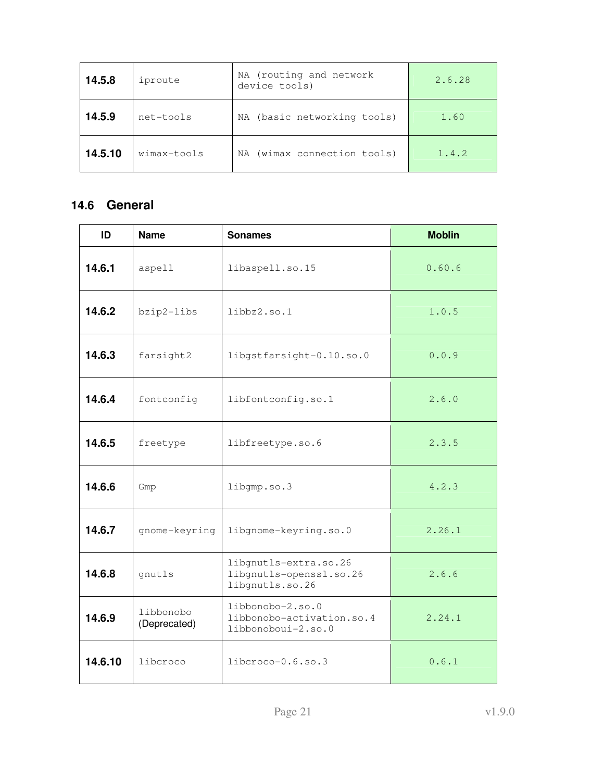| 14.5.8  | NA (routing and network<br>iproute<br>device tools) |                             | 2.6.28 |
|---------|-----------------------------------------------------|-----------------------------|--------|
| 14.5.9  | NA (basic networking tools)<br>net-tools            |                             | 1.60   |
| 14.5.10 | wimax-tools                                         | NA (wimax connection tools) | 1.4.2  |

## **14.6 General**

| ID                                                                                                         | <b>Name</b>                   | <b>Sonames</b>                                                      | <b>Moblin</b> |
|------------------------------------------------------------------------------------------------------------|-------------------------------|---------------------------------------------------------------------|---------------|
| 14.6.1                                                                                                     | aspell                        | libaspell.so.15                                                     | 0.60.6        |
| 14.6.2                                                                                                     | bzip2-libs                    | libbz2.so.1                                                         | 1.0.5         |
| 14.6.3                                                                                                     | farsight2                     | libgstfarsight-0.10.so.0                                            | 0.0.9         |
| 14.6.4                                                                                                     | fontconfig                    | libfontconfig.so.1                                                  | 2.6.0         |
| 14.6.5                                                                                                     | freetype                      | libfreetype.so.6                                                    | 2.3.5         |
| 14.6.6                                                                                                     | Gmp                           | libgmp.so.3                                                         | 4.2.3         |
| 14.6.7                                                                                                     | gnome-keyring                 | libgnome-keyring.so.0                                               | 2.26.1        |
| 14.6.8                                                                                                     | gnutls                        | libgnutls-extra.so.26<br>libgnutls-openssl.so.26<br>libgnutls.so.26 | 2.6.6         |
| libbonobo-2.so.0<br>libbonobo<br>14.6.9<br>libbonobo-activation.so.4<br>(Deprecated)<br>libbonoboui-2.so.0 |                               | 2.24.1                                                              |               |
| 14.6.10                                                                                                    | libcroco<br>libcroco-0.6.so.3 |                                                                     | 0.6.1         |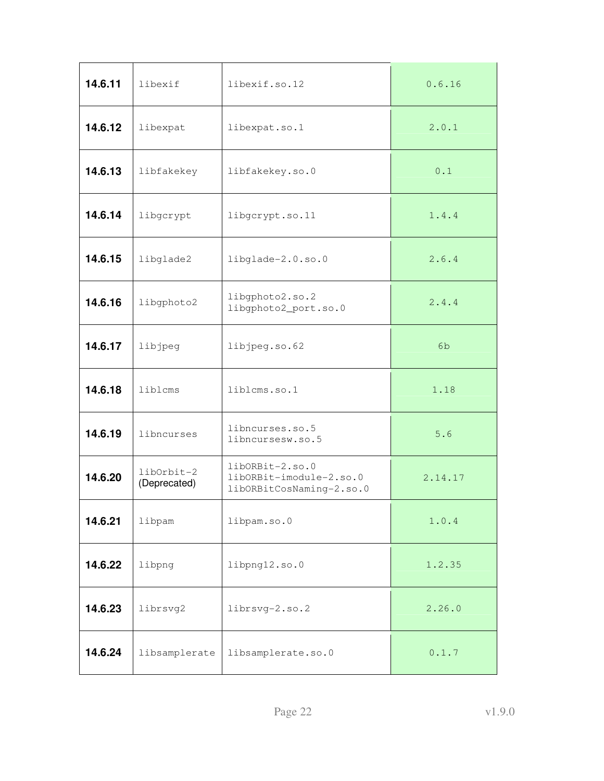| 14.6.11 | libexif<br>libexif.so.12                                                                             |                                         | 0.6.16         |
|---------|------------------------------------------------------------------------------------------------------|-----------------------------------------|----------------|
| 14.6.12 | libexpat                                                                                             | libexpat.so.1                           | 2.0.1          |
| 14.6.13 | libfakekey                                                                                           | libfakekey.so.0                         | 0.1            |
| 14.6.14 | libgcrypt                                                                                            | libgcrypt.so.11                         | 1.4.4          |
| 14.6.15 | libglade2                                                                                            | libglade-2.0.so.0                       | 2.6.4          |
| 14.6.16 | libgphoto2                                                                                           | libgphoto2.so.2<br>libgphoto2_port.so.0 | 2.4.4          |
| 14.6.17 | libjpeg                                                                                              | libjpeg.so.62                           | 6 <sub>b</sub> |
| 14.6.18 | liblcms                                                                                              | liblcms.so.1                            | 1.18           |
| 14.6.19 | libncurses                                                                                           | libncurses.so.5<br>libncursesw.so.5     | 5.6            |
| 14.6.20 | libORBit-2.so.0<br>libOrbit-2<br>libORBit-imodule-2.so.0<br>(Deprecated)<br>libORBitCosNaming-2.so.0 |                                         | 2.14.17        |
| 14.6.21 | libpam                                                                                               | libpam.so.0                             | 1.0.4          |
| 14.6.22 | libpng                                                                                               | libpng12.so.0                           | 1.2.35         |
| 14.6.23 | librsvg2                                                                                             | librsvg-2.so.2                          | 2.26.0         |
| 14.6.24 | libsamplerate                                                                                        | libsamplerate.so.0                      | 0.1.7          |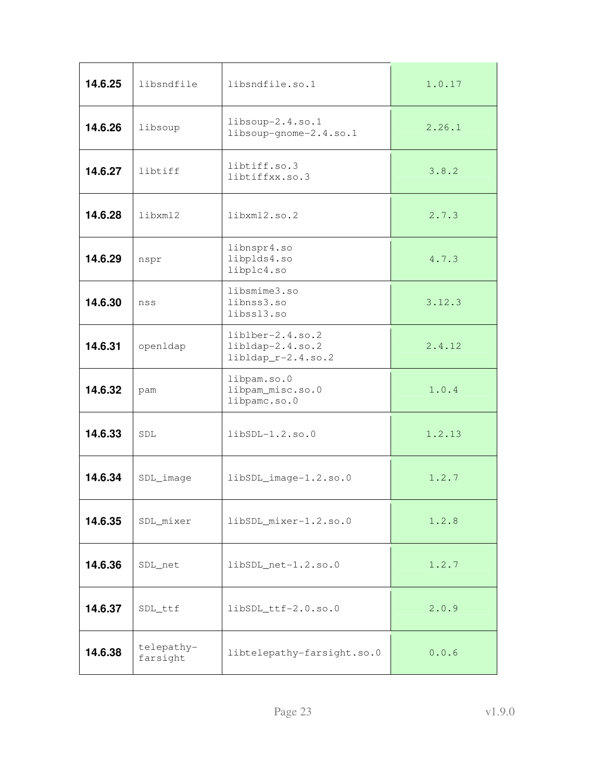| 14.6.25 | libsndfile<br>libsndfile.so.1                                          |                                                 | 1.0.17 |
|---------|------------------------------------------------------------------------|-------------------------------------------------|--------|
| 14.6.26 | libsoup                                                                | libsoup-2.4.so.1<br>libsoup-gnome-2.4.so.1      | 2.26.1 |
| 14.6.27 | libtiff                                                                | libtiff.so.3<br>libtiffxx.so.3                  | 3.8.2  |
| 14.6.28 | libxml2                                                                | libxml2.so.2                                    | 2.7.3  |
| 14.6.29 | nspr                                                                   | libnspr4.so<br>libplds4.so<br>libplc4.so        | 4.7.3  |
| 14.6.30 | nss                                                                    | libsmime3.so<br>libnss3.so<br>libss13.so        | 3.12.3 |
| 14.6.31 | liblber-2.4.so.2<br>libldap-2.4.so.2<br>openldap<br>libldap_r-2.4.so.2 |                                                 | 2.4.12 |
| 14.6.32 | pam                                                                    | libpam.so.0<br>libpam_misc.so.0<br>libpamc.so.0 | 1.0.4  |
| 14.6.33 | <b>SDL</b><br>$libSDL-1.2.so.0$                                        |                                                 | 1.2.13 |
| 14.6.34 | SDL_image<br>libSDL_image-1.2.so.0                                     |                                                 | 1.2.7  |
| 14.6.35 | SDL_mixer<br>libSDL_mixer-1.2.so.0                                     |                                                 | 1.2.8  |
| 14.6.36 | libSDL_net-1.2.so.0<br>SDL_net                                         |                                                 | 1.2.7  |
| 14.6.37 | libSDL_ttf-2.0.so.0<br>SDL_ttf                                         |                                                 | 2.0.9  |
| 14.6.38 | telepathy-<br>farsight                                                 | libtelepathy-farsight.so.0                      | 0.0.6  |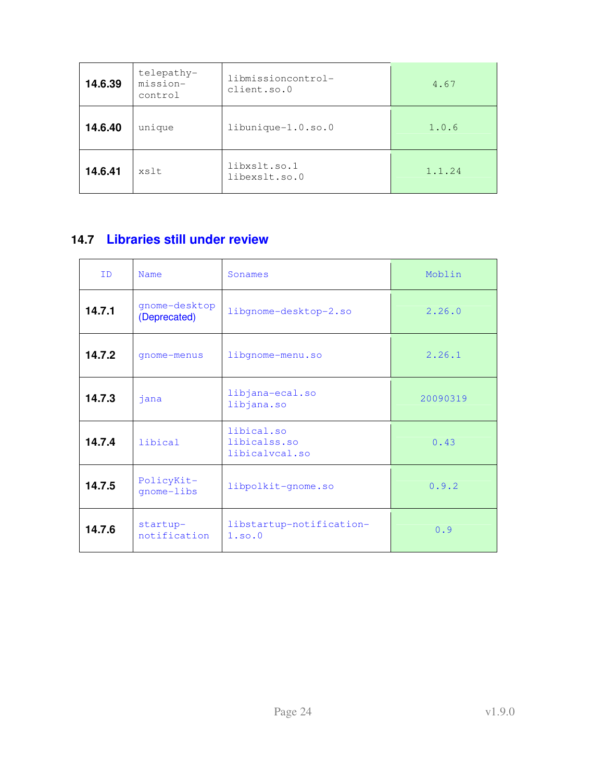| 14.6.39 | telepathy-<br>libmissioncontrol-<br>mission-<br>client.so.0<br>control |                               | 4.67   |
|---------|------------------------------------------------------------------------|-------------------------------|--------|
| 14.6.40 | unique                                                                 | $libunique-1.0.so.0$          | 1.0.6  |
| 14.6.41 | xslt                                                                   | libxslt.so.1<br>libexslt.so.0 | 1.1.24 |

## **14.7 Libraries still under review**

| <b>TD</b> | Name<br>Sonames                                         |                                    | Moblin   |
|-----------|---------------------------------------------------------|------------------------------------|----------|
| 14.7.1    | gnome-desktop<br>(Deprecated)                           | libgnome-desktop-2.so              | 2.26.0   |
| 14.7.2    | qnome-menus                                             | libgnome-menu.so                   | 2.26.1   |
| 14.7.3    | jana                                                    | libjana-ecal.so<br>libjana.so      | 20090319 |
| 14.7.4    | libical.so<br>libical<br>libicalss.so<br>libicalvcal.so |                                    | 0.43     |
| 14.7.5    | PolicyKit-<br>libpolkit-gnome.so<br>qnome-libs          |                                    | 0.9.2    |
| 14.7.6    | startup-<br>notification                                | libstartup-notification-<br>1.so.0 | 0.9      |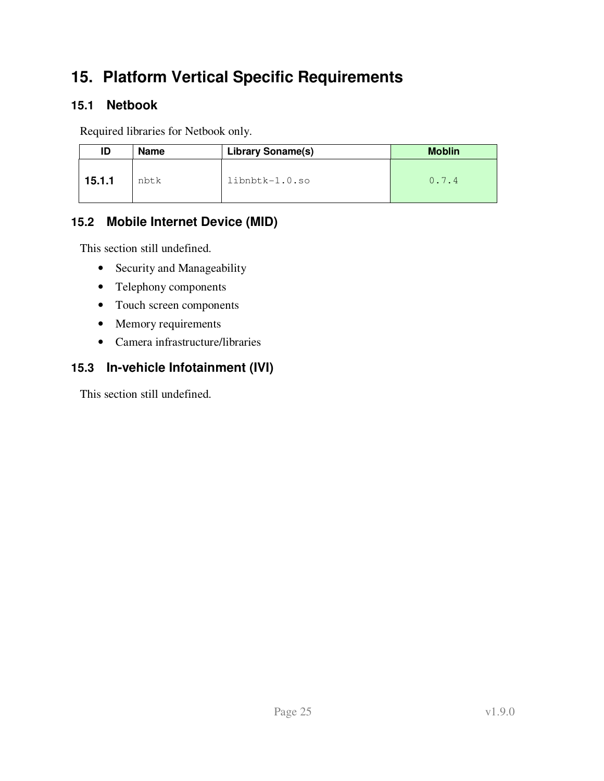# **15. Platform Vertical Specific Requirements**

### **15.1 Netbook**

Required libraries for Netbook only.

| ID     | <b>Name</b> | <b>Library Soname(s)</b> | <b>Moblin</b> |
|--------|-------------|--------------------------|---------------|
| 15.1.1 | nbtk        | $libnbtk-1.0.so$         | 0.7.4         |

### **15.2 Mobile Internet Device (MID)**

This section still undefined.

- Security and Manageability
- Telephony components
- Touch screen components
- Memory requirements
- Camera infrastructure/libraries

## **15.3 In-vehicle Infotainment (IVI)**

This section still undefined.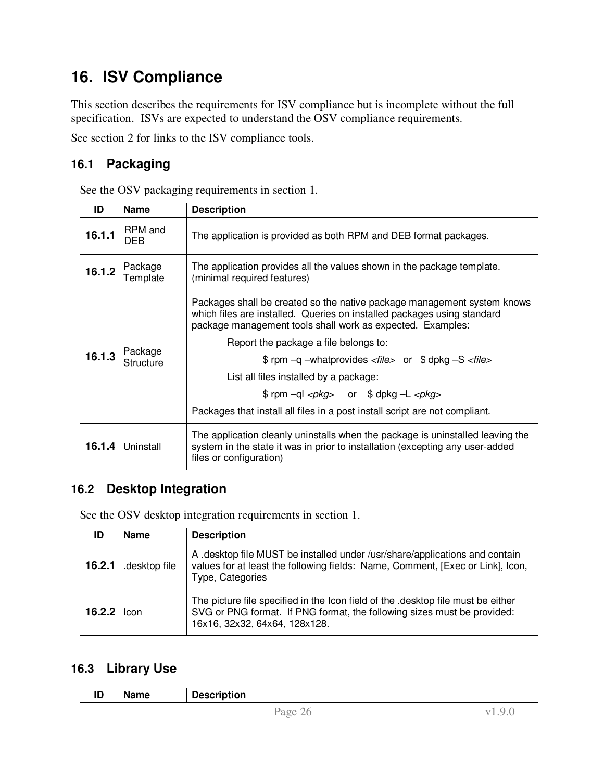# **16. ISV Compliance**

This section describes the requirements for ISV compliance but is incomplete without the full specification. ISVs are expected to understand the OSV compliance requirements.

See section 2 for links to the ISV compliance tools.

### **16.1 Packaging**

| ID     | <b>Name</b>                 | <b>Description</b>                                                                                                                                                                                                                                                                                                                                                                                                                                                                                                                                       |  |  |
|--------|-----------------------------|----------------------------------------------------------------------------------------------------------------------------------------------------------------------------------------------------------------------------------------------------------------------------------------------------------------------------------------------------------------------------------------------------------------------------------------------------------------------------------------------------------------------------------------------------------|--|--|
| 16.1.1 | RPM and<br><b>DEB</b>       | The application is provided as both RPM and DEB format packages.                                                                                                                                                                                                                                                                                                                                                                                                                                                                                         |  |  |
| 16.1.2 | Package<br>Template         | The application provides all the values shown in the package template.<br>(minimal required features)                                                                                                                                                                                                                                                                                                                                                                                                                                                    |  |  |
| 16.1.3 | Package<br><b>Structure</b> | Packages shall be created so the native package management system knows<br>which files are installed. Queries on installed packages using standard<br>package management tools shall work as expected. Examples:<br>Report the package a file belongs to:<br>\$ rpm -q -whatprovides <file> or \$ dpkg -S <file><br/>List all files installed by a package:<br/><math>\text{Sym} - \text{ql} &lt; pkg</math> or <math>\text{Sh} - \text{L} &lt; pkg</math><br/>Packages that install all files in a post install script are not compliant.</file></file> |  |  |
| 16.1.4 | Uninstall                   | The application cleanly uninstalls when the package is uninstalled leaving the<br>system in the state it was in prior to installation (excepting any user-added<br>files or configuration)                                                                                                                                                                                                                                                                                                                                                               |  |  |

### **16.2 Desktop Integration**

See the OSV desktop integration requirements in section 1.

| ID     | <b>Name</b>   | <b>Description</b>                                                                                                                                                                           |
|--------|---------------|----------------------------------------------------------------------------------------------------------------------------------------------------------------------------------------------|
| 16.2.1 | .desktop file | A desktop file MUST be installed under /usr/share/applications and contain<br>values for at least the following fields: Name, Comment, [Exec or Link], Icon,<br>Type, Categories             |
| 16.2.2 | Icon          | The picture file specified in the Icon field of the .desktop file must be either<br>SVG or PNG format. If PNG format, the following sizes must be provided:<br>16x16, 32x32, 64x64, 128x128. |

### **16.3 Library Use**

| חו<br>שו | <b>Name</b> | <b>Description</b> |    |
|----------|-------------|--------------------|----|
|          |             | Page 26            | u. |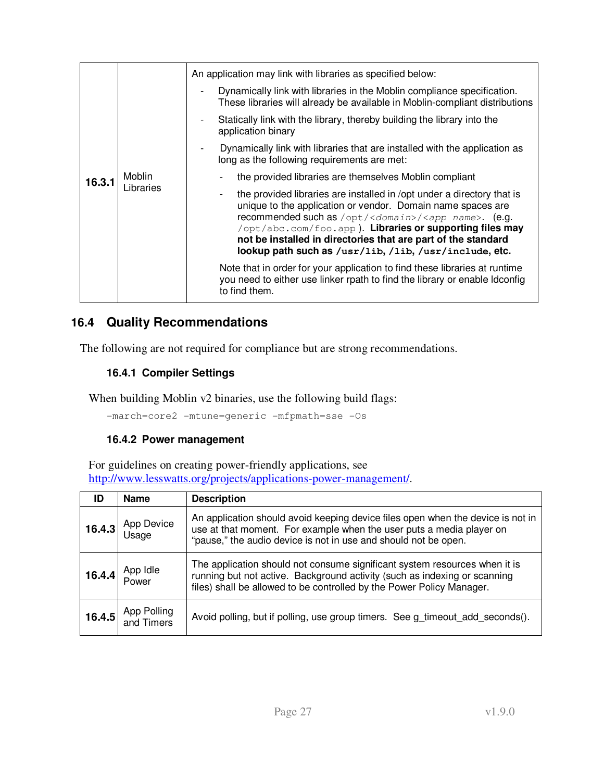|        | Moblin<br>Libraries | An application may link with libraries as specified below:                                                                                                                                                                                                                                                                                                                                                |
|--------|---------------------|-----------------------------------------------------------------------------------------------------------------------------------------------------------------------------------------------------------------------------------------------------------------------------------------------------------------------------------------------------------------------------------------------------------|
| 16.3.1 |                     | Dynamically link with libraries in the Moblin compliance specification.<br>These libraries will already be available in Moblin-compliant distributions                                                                                                                                                                                                                                                    |
|        |                     | Statically link with the library, thereby building the library into the<br>application binary                                                                                                                                                                                                                                                                                                             |
|        |                     | Dynamically link with libraries that are installed with the application as<br>long as the following requirements are met:                                                                                                                                                                                                                                                                                 |
|        |                     | the provided libraries are themselves Moblin compliant                                                                                                                                                                                                                                                                                                                                                    |
|        |                     | the provided libraries are installed in /opt under a directory that is<br>unique to the application or vendor. Domain name spaces are<br>recommended such as /opt/ <domain>/<app name="">. (e.g.<br/>/opt/abc.com/foo.app). Libraries or supporting files may<br/>not be installed in directories that are part of the standard<br/>lookup path such as /usr/lib, /lib, /usr/include, etc.</app></domain> |
|        |                     | Note that in order for your application to find these libraries at runtime<br>you need to either use linker rpath to find the library or enable Idconfig<br>to find them.                                                                                                                                                                                                                                 |

### **16.4 Quality Recommendations**

The following are not required for compliance but are strong recommendations.

#### **16.4.1 Compiler Settings**

When building Moblin v2 binaries, use the following build flags:

-march=core2 -mtune=generic -mfpmath=sse -Os

#### **16.4.2 Power management**

For guidelines on creating power-friendly applications, see http://www.lesswatts.org/projects/applications-power-management/.

| ID     | <b>Name</b>               | <b>Description</b>                                                                                                                                                                                                               |
|--------|---------------------------|----------------------------------------------------------------------------------------------------------------------------------------------------------------------------------------------------------------------------------|
|        | 16.4.3 App Device         | An application should avoid keeping device files open when the device is not in<br>use at that moment. For example when the user puts a media player on<br>"pause," the audio device is not in use and should not be open.       |
|        | 16.4.4 App Idle           | The application should not consume significant system resources when it is<br>running but not active. Background activity (such as indexing or scanning<br>files) shall be allowed to be controlled by the Power Policy Manager. |
| 16.4.5 | App Polling<br>and Timers | Avoid polling, but if polling, use group timers. See g_timeout_add_seconds().                                                                                                                                                    |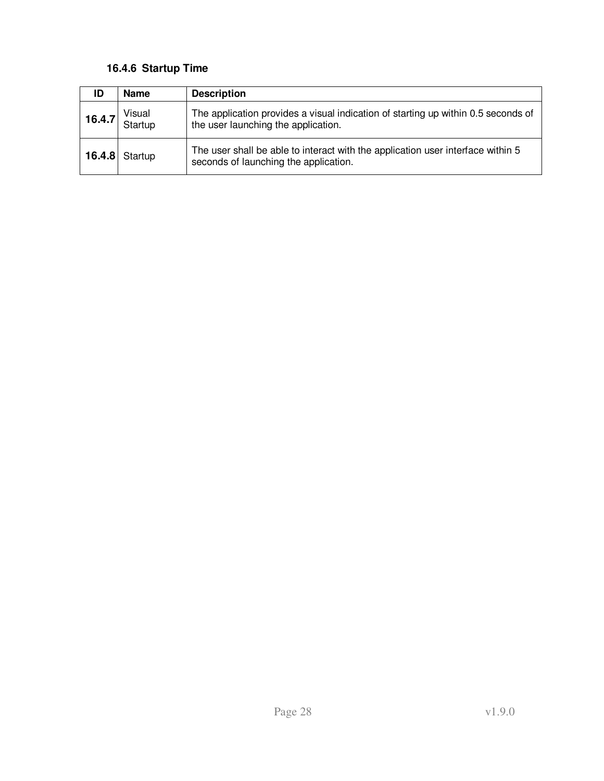#### **16.4.6 Startup Time**

| ID     | <b>Name</b>       | <b>Description</b>                                                                                                       |
|--------|-------------------|--------------------------------------------------------------------------------------------------------------------------|
| 16.4.7 | Visual<br>Startup | The application provides a visual indication of starting up within 0.5 seconds of<br>the user launching the application. |
|        | $16.4.8$ Startup  | The user shall be able to interact with the application user interface within 5<br>seconds of launching the application. |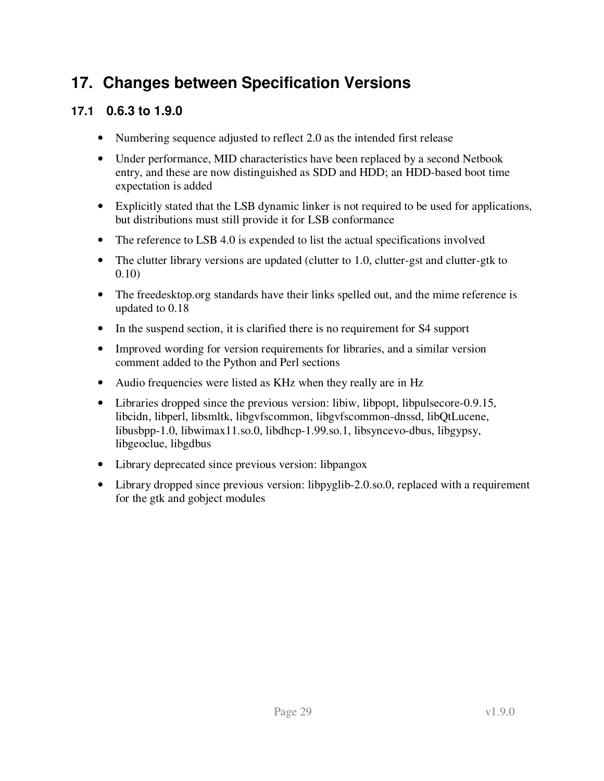## **17. Changes between Specification Versions**

### **17.1 0.6.3 to 1.9.0**

- Numbering sequence adjusted to reflect 2.0 as the intended first release
- Under performance, MID characteristics have been replaced by a second Netbook entry, and these are now distinguished as SDD and HDD; an HDD-based boot time expectation is added
- Explicitly stated that the LSB dynamic linker is not required to be used for applications, but distributions must still provide it for LSB conformance
- The reference to LSB 4.0 is expended to list the actual specifications involved
- The clutter library versions are updated (clutter to 1.0, clutter-gst and clutter-gtk to 0.10)
- The freedesktop.org standards have their links spelled out, and the mime reference is updated to 0.18
- In the suspend section, it is clarified there is no requirement for S4 support
- Improved wording for version requirements for libraries, and a similar version comment added to the Python and Perl sections
- Audio frequencies were listed as KHz when they really are in Hz
- Libraries dropped since the previous version: libiw, libpopt, libpulsecore-0.9.15, libcidn, libperl, libsmltk, libgvfscommon, libgvfscommon-dnssd, libQtLucene, libusbpp-1.0, libwimax11.so.0, libdhcp-1.99.so.1, libsyncevo-dbus, libgypsy, libgeoclue, libgdbus
- Library deprecated since previous version: libpangox
- Library dropped since previous version: libpyglib-2.0.so.0, replaced with a requirement for the gtk and gobject modules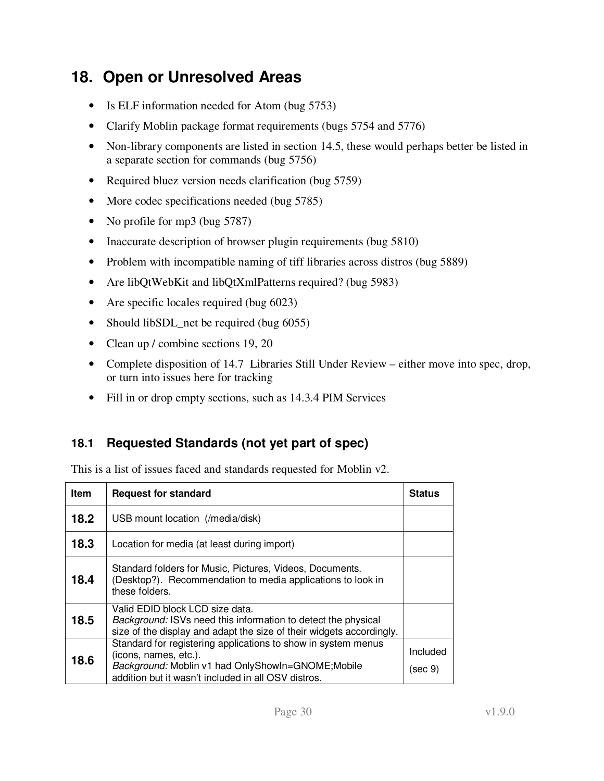## **18. Open or Unresolved Areas**

- Is ELF information needed for Atom (bug 5753)
- Clarify Moblin package format requirements (bugs 5754 and 5776)
- Non-library components are listed in section 14.5, these would perhaps better be listed in a separate section for commands (bug 5756)
- Required bluez version needs clarification (bug 5759)
- More codec specifications needed (bug 5785)
- No profile for mp3 (bug 5787)
- Inaccurate description of browser plugin requirements (bug 5810)
- Problem with incompatible naming of tiff libraries across distros (bug 5889)
- Are libQtWebKit and libQtXmlPatterns required? (bug 5983)
- Are specific locales required (bug 6023)
- Should libSDL\_net be required (bug 6055)
- Clean up / combine sections 19, 20
- Complete disposition of 14.7 Libraries Still Under Review either move into spec, drop, or turn into issues here for tracking
- Fill in or drop empty sections, such as 14.3.4 PIM Services

### **18.1 Requested Standards (not yet part of spec)**

This is a list of issues faced and standards requested for Moblin v2.

| <b>Item</b> | <b>Request for standard</b>                                                                                                                                                                        | Status              |
|-------------|----------------------------------------------------------------------------------------------------------------------------------------------------------------------------------------------------|---------------------|
| 18.2        | USB mount location (/media/disk)                                                                                                                                                                   |                     |
| 18.3        | Location for media (at least during import)                                                                                                                                                        |                     |
| 18.4        | Standard folders for Music, Pictures, Videos, Documents.<br>(Desktop?). Recommendation to media applications to look in<br>these folders.                                                          |                     |
| 18.5        | Valid EDID block LCD size data.<br><i>Background:</i> ISVs need this information to detect the physical<br>size of the display and adapt the size of their widgets accordingly.                    |                     |
| 18.6        | Standard for registering applications to show in system menus<br>(icons, names, etc.).<br>Background: Moblin v1 had OnlyShowIn=GNOME;Mobile<br>addition but it wasn't included in all OSV distros. | Included<br>(sec 9) |